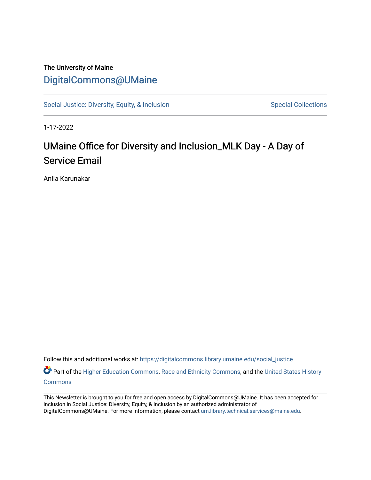## The University of Maine [DigitalCommons@UMaine](https://digitalcommons.library.umaine.edu/)

[Social Justice: Diversity, Equity, & Inclusion](https://digitalcommons.library.umaine.edu/social_justice) [Special Collections](https://digitalcommons.library.umaine.edu/specialcollections) Special Collections

1-17-2022

## UMaine Office for Diversity and Inclusion\_MLK Day - A Day of Service Email

Anila Karunakar

Follow this and additional works at: [https://digitalcommons.library.umaine.edu/social\\_justice](https://digitalcommons.library.umaine.edu/social_justice?utm_source=digitalcommons.library.umaine.edu%2Fsocial_justice%2F866&utm_medium=PDF&utm_campaign=PDFCoverPages) 

Part of the [Higher Education Commons,](http://network.bepress.com/hgg/discipline/1245?utm_source=digitalcommons.library.umaine.edu%2Fsocial_justice%2F866&utm_medium=PDF&utm_campaign=PDFCoverPages) [Race and Ethnicity Commons,](http://network.bepress.com/hgg/discipline/426?utm_source=digitalcommons.library.umaine.edu%2Fsocial_justice%2F866&utm_medium=PDF&utm_campaign=PDFCoverPages) and the United States History **[Commons](http://network.bepress.com/hgg/discipline/495?utm_source=digitalcommons.library.umaine.edu%2Fsocial_justice%2F866&utm_medium=PDF&utm_campaign=PDFCoverPages)** 

This Newsletter is brought to you for free and open access by DigitalCommons@UMaine. It has been accepted for inclusion in Social Justice: Diversity, Equity, & Inclusion by an authorized administrator of DigitalCommons@UMaine. For more information, please contact [um.library.technical.services@maine.edu](mailto:um.library.technical.services@maine.edu).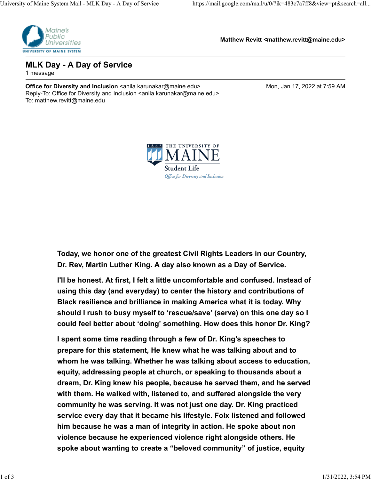

**Matthew Revitt <matthew.revitt@maine.edu>**

**MLK Day - A Day of Service** 1 message

**Office for Diversity and Inclusion <anila.karunakar@maine.edu> Mon, Jan 17, 2022 at 7:59 AM** Reply-To: Office for Diversity and Inclusion <anila.karunakar@maine.edu> To: matthew.revitt@maine.edu



**Today, we honor one of the greatest Civil Rights Leaders in our Country, Dr. Rev, Martin Luther King. A day also known as a Day of Service.** 

**I'll be honest. At first, I felt a little uncomfortable and confused. Instead of using this day (and everyday) to center the history and contributions of Black resilience and brilliance in making America what it is today. Why should I rush to busy myself to 'rescue/save' (serve) on this one day so I could feel better about 'doing' something. How does this honor Dr. King?** 

**I spent some time reading through a few of Dr. King's speeches to prepare for this statement, He knew what he was talking about and to whom he was talking. Whether he was talking about access to education, equity, addressing people at church, or speaking to thousands about a dream, Dr. King knew his people, because he served them, and he served with them. He walked with, listened to, and suffered alongside the very community he was serving. It was not just one day. Dr. King practiced service every day that it became his lifestyle. Folx listened and followed him because he was a man of integrity in action. He spoke about non violence because he experienced violence right alongside others. He spoke about wanting to create a "beloved community" of justice, equity**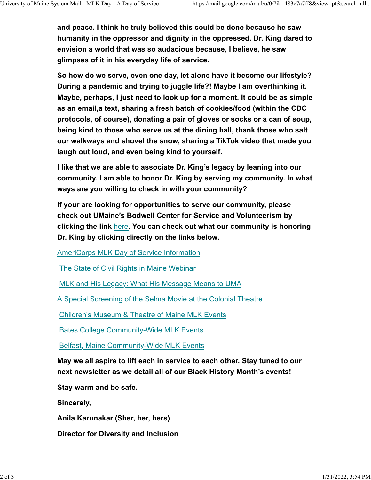**and peace. I think he truly believed this could be done because he saw humanity in the oppressor and dignity in the oppressed. Dr. King dared to envision a world that was so audacious because, I believe, he saw glimpses of it in his everyday life of service.**

**So how do we serve, even one day, let alone have it become our lifestyle? During a pandemic and trying to juggle life?! Maybe I am overthinking it. Maybe, perhaps, I just need to look up for a moment. It could be as simple as an email,a text, sharing a fresh batch of cookies/food (within the CDC protocols, of course), donating a pair of gloves or socks or a can of soup, being kind to those who serve us at the dining hall, thank those who salt our walkways and shovel the snow, sharing a TikTok video that made you laugh out loud, and even being kind to yourself.** 

**I like that we are able to associate Dr. King's legacy by leaning into our community. I am able to honor Dr. King by serving my community. In what ways are you willing to check in with your community?** 

**If your are looking for opportunities to serve our community, please check out UMaine's Bodwell Center for Service and Volunteerism by clicking the link** [here](https://umaine.us16.list-manage.com/track/click?u=2b0fa2738786d913f64b4ee3f&id=21fb33f6d4&e=fdf73b7061)**. You can check out what our community is honoring Dr. King by clicking directly on the links below.**

[AmeriCorps MLK Day of Service Information](https://umaine.us16.list-manage.com/track/click?u=2b0fa2738786d913f64b4ee3f&id=04835843b4&e=fdf73b7061)

[The State of Civil Rights in Maine Webinar](https://umaine.us16.list-manage.com/track/click?u=2b0fa2738786d913f64b4ee3f&id=5567b9b88e&e=fdf73b7061)

[MLK and His Legacy: What His Message Means to UMA](https://umaine.us16.list-manage.com/track/click?u=2b0fa2738786d913f64b4ee3f&id=57dfc302ae&e=fdf73b7061)

[A Special Screening of the Selma Movie at the Colonial Theatre](https://umaine.us16.list-manage.com/track/click?u=2b0fa2738786d913f64b4ee3f&id=605f43f64f&e=fdf73b7061)

[Children's Museum & Theatre of Maine MLK Events](https://umaine.us16.list-manage.com/track/click?u=2b0fa2738786d913f64b4ee3f&id=2d06783699&e=fdf73b7061)

[Bates College Community-Wide MLK Events](https://umaine.us16.list-manage.com/track/click?u=2b0fa2738786d913f64b4ee3f&id=83de22fcd8&e=fdf73b7061)

[Belfast, Maine Community-Wide MLK Events](https://umaine.us16.list-manage.com/track/click?u=2b0fa2738786d913f64b4ee3f&id=b638bea765&e=fdf73b7061)

**May we all aspire to lift each in service to each other. Stay tuned to our next newsletter as we detail all of our Black History Month's events!**

**Stay warm and be safe.**

**Sincerely,**

**Anila Karunakar (Sher, her, hers)**

**Director for Diversity and Inclusion**